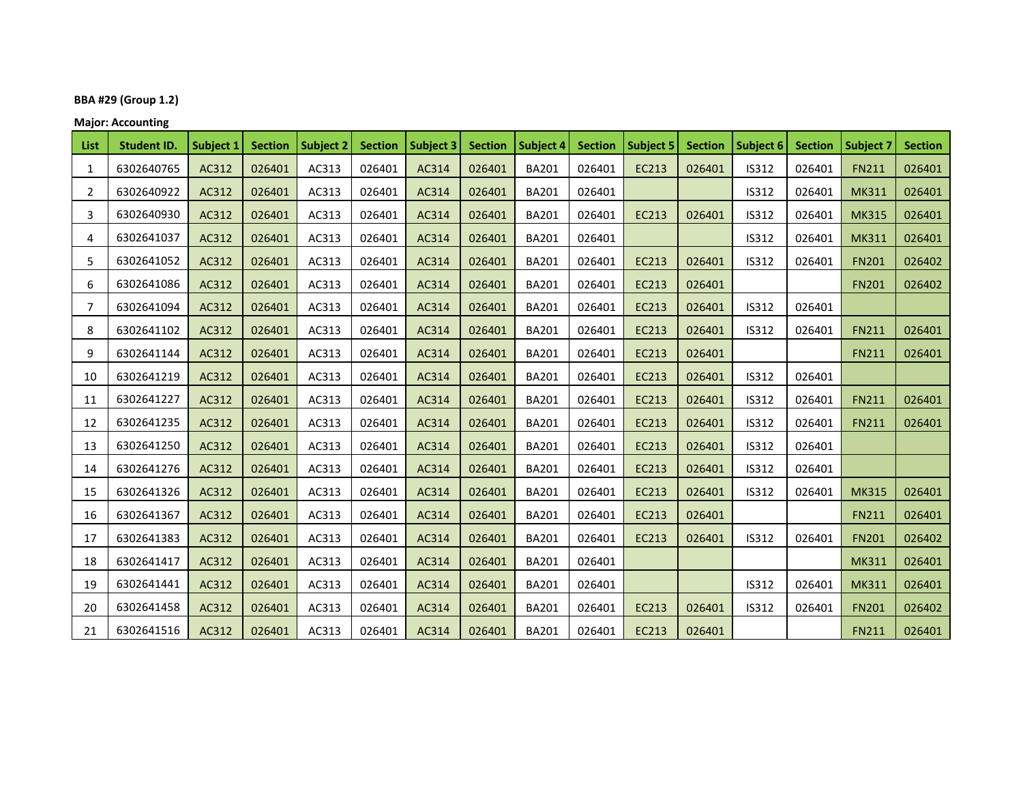## **BBA #29 (Group 1.2)**

**Major: Accounting**

| List           | <b>Student ID.</b> | Subject 1 | <b>Section</b> | Subject 2 | <b>Section</b> | <b>Subject 3</b> | <b>Section</b> | <b>Subject 4</b> | <b>Section</b> | <b>Subject 5</b> | <b>Section</b> | Subject 6    | <b>Section</b> | <b>Subject 7</b> | <b>Section</b> |
|----------------|--------------------|-----------|----------------|-----------|----------------|------------------|----------------|------------------|----------------|------------------|----------------|--------------|----------------|------------------|----------------|
| 1              | 6302640765         | AC312     | 026401         | AC313     | 026401         | AC314            | 026401         | <b>BA201</b>     | 026401         | EC213            | 026401         | IS312        | 026401         | <b>FN211</b>     | 026401         |
| $\overline{2}$ | 6302640922         | AC312     | 026401         | AC313     | 026401         | AC314            | 026401         | <b>BA201</b>     | 026401         |                  |                | IS312        | 026401         | <b>MK311</b>     | 026401         |
| 3              | 6302640930         | AC312     | 026401         | AC313     | 026401         | AC314            | 026401         | <b>BA201</b>     | 026401         | EC213            | 026401         | IS312        | 026401         | <b>MK315</b>     | 026401         |
| 4              | 6302641037         | AC312     | 026401         | AC313     | 026401         | AC314            | 026401         | <b>BA201</b>     | 026401         |                  |                | IS312        | 026401         | <b>MK311</b>     | 026401         |
| 5              | 6302641052         | AC312     | 026401         | AC313     | 026401         | AC314            | 026401         | <b>BA201</b>     | 026401         | EC213            | 026401         | IS312        | 026401         | <b>FN201</b>     | 026402         |
| 6              | 6302641086         | AC312     | 026401         | AC313     | 026401         | AC314            | 026401         | <b>BA201</b>     | 026401         | EC213            | 026401         |              |                | <b>FN201</b>     | 026402         |
| 7              | 6302641094         | AC312     | 026401         | AC313     | 026401         | AC314            | 026401         | <b>BA201</b>     | 026401         | EC213            | 026401         | IS312        | 026401         |                  |                |
| 8              | 6302641102         | AC312     | 026401         | AC313     | 026401         | AC314            | 026401         | <b>BA201</b>     | 026401         | EC213            | 026401         | IS312        | 026401         | <b>FN211</b>     | 026401         |
| 9              | 6302641144         | AC312     | 026401         | AC313     | 026401         | AC314            | 026401         | <b>BA201</b>     | 026401         | EC213            | 026401         |              |                | <b>FN211</b>     | 026401         |
| 10             | 6302641219         | AC312     | 026401         | AC313     | 026401         | AC314            | 026401         | <b>BA201</b>     | 026401         | EC213            | 026401         | IS312        | 026401         |                  |                |
| 11             | 6302641227         | AC312     | 026401         | AC313     | 026401         | AC314            | 026401         | <b>BA201</b>     | 026401         | EC213            | 026401         | IS312        | 026401         | <b>FN211</b>     | 026401         |
| 12             | 6302641235         | AC312     | 026401         | AC313     | 026401         | AC314            | 026401         | <b>BA201</b>     | 026401         | EC213            | 026401         | IS312        | 026401         | <b>FN211</b>     | 026401         |
| 13             | 6302641250         | AC312     | 026401         | AC313     | 026401         | AC314            | 026401         | <b>BA201</b>     | 026401         | EC213            | 026401         | IS312        | 026401         |                  |                |
| 14             | 6302641276         | AC312     | 026401         | AC313     | 026401         | AC314            | 026401         | <b>BA201</b>     | 026401         | EC213            | 026401         | IS312        | 026401         |                  |                |
| 15             | 6302641326         | AC312     | 026401         | AC313     | 026401         | AC314            | 026401         | <b>BA201</b>     | 026401         | EC213            | 026401         | IS312        | 026401         | <b>MK315</b>     | 026401         |
| 16             | 6302641367         | AC312     | 026401         | AC313     | 026401         | AC314            | 026401         | <b>BA201</b>     | 026401         | EC213            | 026401         |              |                | <b>FN211</b>     | 026401         |
| 17             | 6302641383         | AC312     | 026401         | AC313     | 026401         | AC314            | 026401         | <b>BA201</b>     | 026401         | EC213            | 026401         | <b>IS312</b> | 026401         | <b>FN201</b>     | 026402         |
| 18             | 6302641417         | AC312     | 026401         | AC313     | 026401         | AC314            | 026401         | <b>BA201</b>     | 026401         |                  |                |              |                | <b>MK311</b>     | 026401         |
| 19             | 6302641441         | AC312     | 026401         | AC313     | 026401         | AC314            | 026401         | <b>BA201</b>     | 026401         |                  |                | IS312        | 026401         | <b>MK311</b>     | 026401         |
| 20             | 6302641458         | AC312     | 026401         | AC313     | 026401         | AC314            | 026401         | <b>BA201</b>     | 026401         | EC213            | 026401         | IS312        | 026401         | <b>FN201</b>     | 026402         |
| 21             | 6302641516         | AC312     | 026401         | AC313     | 026401         | AC314            | 026401         | <b>BA201</b>     | 026401         | EC213            | 026401         |              |                | <b>FN211</b>     | 026401         |